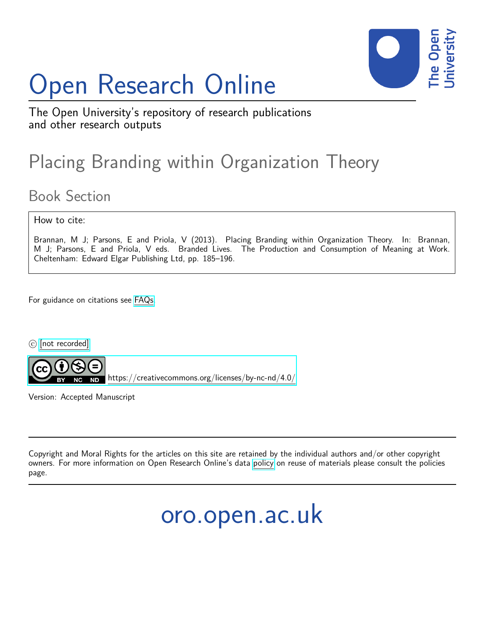# Open Research Online



The Open University's repository of research publications and other research outputs

## Placing Branding within Organization Theory

### Book Section

How to cite:

Brannan, M J; Parsons, E and Priola, V (2013). Placing Branding within Organization Theory. In: Brannan, M J; Parsons, E and Priola, V eds. Branded Lives. The Production and Consumption of Meaning at Work. Cheltenham: Edward Elgar Publishing Ltd, pp. 185–196.

For guidance on citations see [FAQs.](http://oro.open.ac.uk/help/helpfaq.html)

c [\[not recorded\]](http://oro.open.ac.uk/help/helpfaq.html#Unrecorded_information_on_coversheet)



<https://creativecommons.org/licenses/by-nc-nd/4.0/>

Version: Accepted Manuscript

Copyright and Moral Rights for the articles on this site are retained by the individual authors and/or other copyright owners. For more information on Open Research Online's data [policy](http://oro.open.ac.uk/policies.html) on reuse of materials please consult the policies page.

oro.open.ac.uk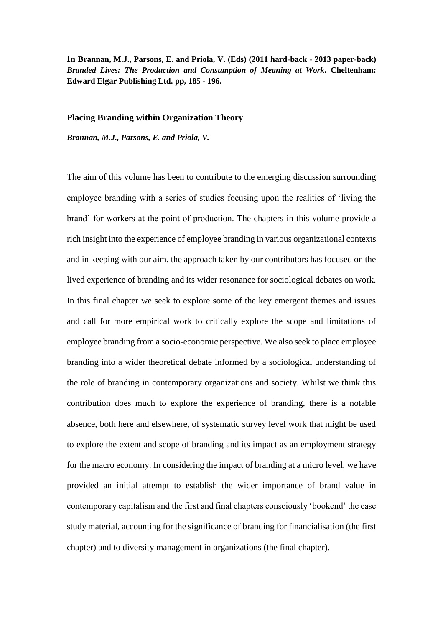**In Brannan, M.J., Parsons, E. and Priola, V. (Eds) (2011 hard-back - 2013 paper-back)**  *Branded Lives: The Production and Consumption of Meaning at Work***. Cheltenham: Edward Elgar Publishing Ltd. pp, 185 - 196.**

#### **Placing Branding within Organization Theory**

*Brannan, M.J., Parsons, E. and Priola, V.*

The aim of this volume has been to contribute to the emerging discussion surrounding employee branding with a series of studies focusing upon the realities of 'living the brand' for workers at the point of production. The chapters in this volume provide a rich insight into the experience of employee branding in various organizational contexts and in keeping with our aim, the approach taken by our contributors has focused on the lived experience of branding and its wider resonance for sociological debates on work. In this final chapter we seek to explore some of the key emergent themes and issues and call for more empirical work to critically explore the scope and limitations of employee branding from a socio-economic perspective. We also seek to place employee branding into a wider theoretical debate informed by a sociological understanding of the role of branding in contemporary organizations and society. Whilst we think this contribution does much to explore the experience of branding, there is a notable absence, both here and elsewhere, of systematic survey level work that might be used to explore the extent and scope of branding and its impact as an employment strategy for the macro economy. In considering the impact of branding at a micro level, we have provided an initial attempt to establish the wider importance of brand value in contemporary capitalism and the first and final chapters consciously 'bookend' the case study material, accounting for the significance of branding for financialisation (the first chapter) and to diversity management in organizations (the final chapter).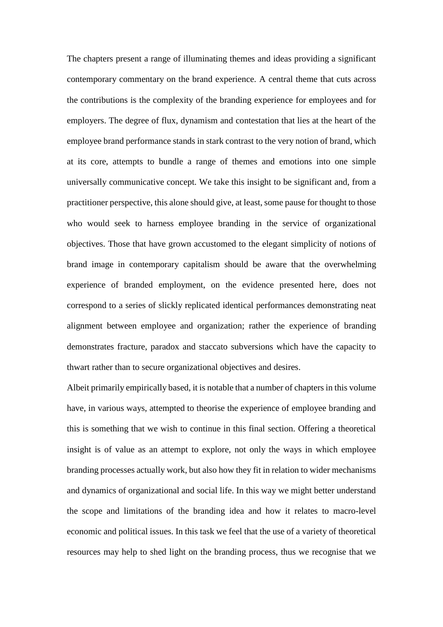The chapters present a range of illuminating themes and ideas providing a significant contemporary commentary on the brand experience. A central theme that cuts across the contributions is the complexity of the branding experience for employees and for employers. The degree of flux, dynamism and contestation that lies at the heart of the employee brand performance stands in stark contrast to the very notion of brand, which at its core, attempts to bundle a range of themes and emotions into one simple universally communicative concept. We take this insight to be significant and, from a practitioner perspective, this alone should give, at least, some pause for thought to those who would seek to harness employee branding in the service of organizational objectives. Those that have grown accustomed to the elegant simplicity of notions of brand image in contemporary capitalism should be aware that the overwhelming experience of branded employment, on the evidence presented here, does not correspond to a series of slickly replicated identical performances demonstrating neat alignment between employee and organization; rather the experience of branding demonstrates fracture, paradox and staccato subversions which have the capacity to thwart rather than to secure organizational objectives and desires.

Albeit primarily empirically based, it is notable that a number of chapters in this volume have, in various ways, attempted to theorise the experience of employee branding and this is something that we wish to continue in this final section. Offering a theoretical insight is of value as an attempt to explore, not only the ways in which employee branding processes actually work, but also how they fit in relation to wider mechanisms and dynamics of organizational and social life. In this way we might better understand the scope and limitations of the branding idea and how it relates to macro-level economic and political issues. In this task we feel that the use of a variety of theoretical resources may help to shed light on the branding process, thus we recognise that we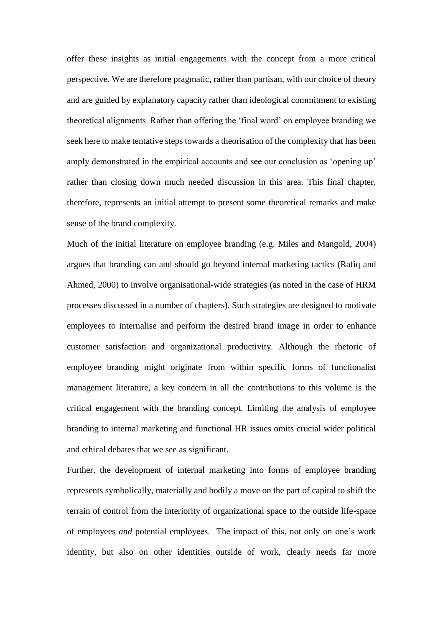offer these insights as initial engagements with the concept from a more critical perspective. We are therefore pragmatic, rather than partisan, with our choice of theory and are guided by explanatory capacity rather than ideological commitment to existing theoretical alignments. Rather than offering the 'final word' on employee branding we seek here to make tentative steps towards a theorisation of the complexity that has been amply demonstrated in the empirical accounts and see our conclusion as 'opening up' rather than closing down much needed discussion in this area. This final chapter, therefore, represents an initial attempt to present some theoretical remarks and make sense of the brand complexity.

Much of the initial literature on employee branding (e.g. Miles and Mangold, 2004) argues that branding can and should go beyond internal marketing tactics (Rafiq and Ahmed, 2000) to involve organisational-wide strategies (as noted in the case of HRM processes discussed in a number of chapters). Such strategies are designed to motivate employees to internalise and perform the desired brand image in order to enhance customer satisfaction and organizational productivity. Although the rhetoric of employee branding might originate from within specific forms of functionalist management literature, a key concern in all the contributions to this volume is the critical engagement with the branding concept. Limiting the analysis of employee branding to internal marketing and functional HR issues omits crucial wider political and ethical debates that we see as significant.

Further, the development of internal marketing into forms of employee branding represents symbolically, materially and bodily a move on the part of capital to shift the terrain of control from the interiority of organizational space to the outside life-space of employees *and* potential employees. The impact of this, not only on one's work identity, but also on other identities outside of work, clearly needs far more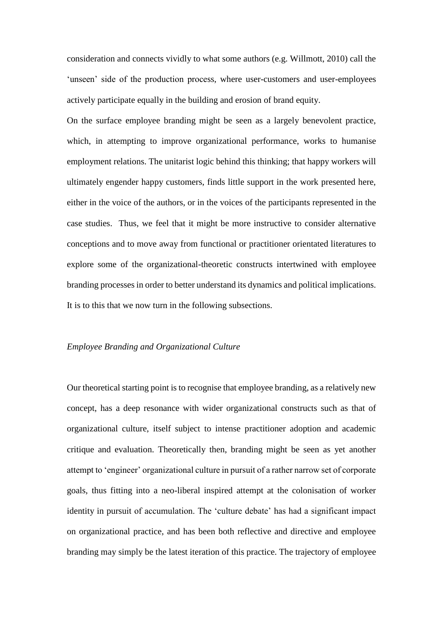consideration and connects vividly to what some authors (e.g. Willmott, 2010) call the 'unseen' side of the production process, where user-customers and user-employees actively participate equally in the building and erosion of brand equity.

On the surface employee branding might be seen as a largely benevolent practice, which, in attempting to improve organizational performance, works to humanise employment relations. The unitarist logic behind this thinking; that happy workers will ultimately engender happy customers, finds little support in the work presented here, either in the voice of the authors, or in the voices of the participants represented in the case studies. Thus, we feel that it might be more instructive to consider alternative conceptions and to move away from functional or practitioner orientated literatures to explore some of the organizational-theoretic constructs intertwined with employee branding processes in order to better understand its dynamics and political implications. It is to this that we now turn in the following subsections.

#### *Employee Branding and Organizational Culture*

Our theoretical starting point is to recognise that employee branding, as a relatively new concept, has a deep resonance with wider organizational constructs such as that of organizational culture, itself subject to intense practitioner adoption and academic critique and evaluation. Theoretically then, branding might be seen as yet another attempt to 'engineer' organizational culture in pursuit of a rather narrow set of corporate goals, thus fitting into a neo-liberal inspired attempt at the colonisation of worker identity in pursuit of accumulation. The 'culture debate' has had a significant impact on organizational practice, and has been both reflective and directive and employee branding may simply be the latest iteration of this practice. The trajectory of employee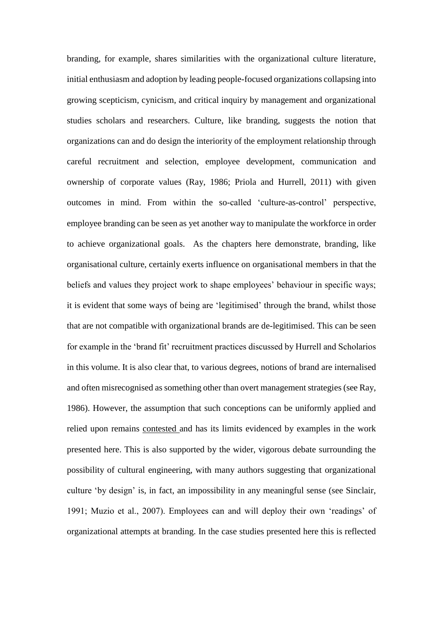branding, for example, shares similarities with the organizational culture literature, initial enthusiasm and adoption by leading people-focused organizations collapsing into growing scepticism, cynicism, and critical inquiry by management and organizational studies scholars and researchers. Culture, like branding, suggests the notion that organizations can and do design the interiority of the employment relationship through careful recruitment and selection, employee development, communication and ownership of corporate values (Ray, 1986; Priola and Hurrell, 2011) with given outcomes in mind. From within the so-called 'culture-as-control' perspective, employee branding can be seen as yet another way to manipulate the workforce in order to achieve organizational goals. As the chapters here demonstrate, branding, like organisational culture, certainly exerts influence on organisational members in that the beliefs and values they project work to shape employees' behaviour in specific ways; it is evident that some ways of being are 'legitimised' through the brand, whilst those that are not compatible with organizational brands are de-legitimised. This can be seen for example in the 'brand fit' recruitment practices discussed by Hurrell and Scholarios in this volume. It is also clear that, to various degrees, notions of brand are internalised and often misrecognised as something other than overt management strategies (see Ray, 1986). However, the assumption that such conceptions can be uniformly applied and relied upon remains contested and has its limits evidenced by examples in the work presented here. This is also supported by the wider, vigorous debate surrounding the possibility of cultural engineering, with many authors suggesting that organizational culture 'by design' is, in fact, an impossibility in any meaningful sense (see Sinclair, 1991; Muzio et al., 2007). Employees can and will deploy their own 'readings' of organizational attempts at branding. In the case studies presented here this is reflected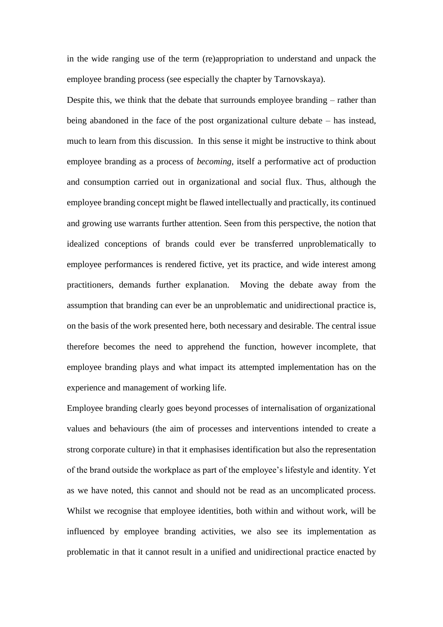in the wide ranging use of the term (re)appropriation to understand and unpack the employee branding process (see especially the chapter by Tarnovskaya).

Despite this, we think that the debate that surrounds employee branding – rather than being abandoned in the face of the post organizational culture debate – has instead, much to learn from this discussion. In this sense it might be instructive to think about employee branding as a process of *becoming*, itself a performative act of production and consumption carried out in organizational and social flux. Thus, although the employee branding concept might be flawed intellectually and practically, its continued and growing use warrants further attention. Seen from this perspective, the notion that idealized conceptions of brands could ever be transferred unproblematically to employee performances is rendered fictive, yet its practice, and wide interest among practitioners, demands further explanation. Moving the debate away from the assumption that branding can ever be an unproblematic and unidirectional practice is, on the basis of the work presented here, both necessary and desirable. The central issue therefore becomes the need to apprehend the function, however incomplete, that employee branding plays and what impact its attempted implementation has on the experience and management of working life.

Employee branding clearly goes beyond processes of internalisation of organizational values and behaviours (the aim of processes and interventions intended to create a strong corporate culture) in that it emphasises identification but also the representation of the brand outside the workplace as part of the employee's lifestyle and identity. Yet as we have noted, this cannot and should not be read as an uncomplicated process. Whilst we recognise that employee identities, both within and without work, will be influenced by employee branding activities, we also see its implementation as problematic in that it cannot result in a unified and unidirectional practice enacted by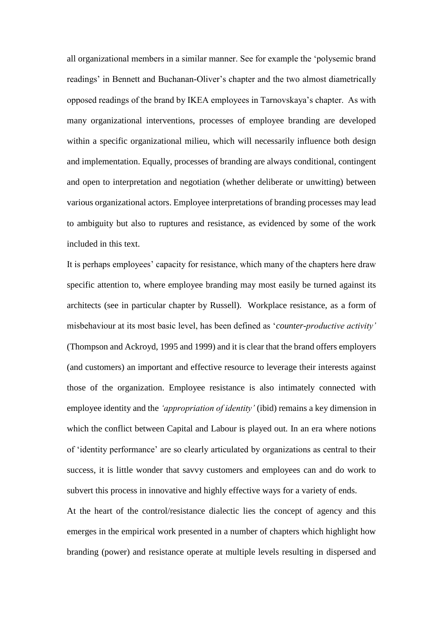all organizational members in a similar manner. See for example the 'polysemic brand readings' in Bennett and Buchanan-Oliver's chapter and the two almost diametrically opposed readings of the brand by IKEA employees in Tarnovskaya's chapter. As with many organizational interventions, processes of employee branding are developed within a specific organizational milieu, which will necessarily influence both design and implementation. Equally, processes of branding are always conditional, contingent and open to interpretation and negotiation (whether deliberate or unwitting) between various organizational actors. Employee interpretations of branding processes may lead to ambiguity but also to ruptures and resistance, as evidenced by some of the work included in this text.

It is perhaps employees' capacity for resistance, which many of the chapters here draw specific attention to, where employee branding may most easily be turned against its architects (see in particular chapter by Russell). Workplace resistance, as a form of misbehaviour at its most basic level, has been defined as '*counter-productive activity'*  (Thompson and Ackroyd, 1995 and 1999) and it is clear that the brand offers employers (and customers) an important and effective resource to leverage their interests against those of the organization. Employee resistance is also intimately connected with employee identity and the *'appropriation of identity'* (ibid) remains a key dimension in which the conflict between Capital and Labour is played out. In an era where notions of 'identity performance' are so clearly articulated by organizations as central to their success, it is little wonder that savvy customers and employees can and do work to subvert this process in innovative and highly effective ways for a variety of ends.

At the heart of the control/resistance dialectic lies the concept of agency and this emerges in the empirical work presented in a number of chapters which highlight how branding (power) and resistance operate at multiple levels resulting in dispersed and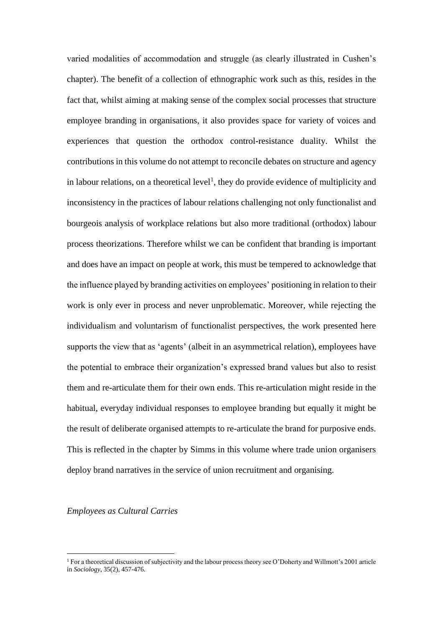varied modalities of accommodation and struggle (as clearly illustrated in Cushen's chapter). The benefit of a collection of ethnographic work such as this, resides in the fact that, whilst aiming at making sense of the complex social processes that structure employee branding in organisations, it also provides space for variety of voices and experiences that question the orthodox control-resistance duality. Whilst the contributions in this volume do not attempt to reconcile debates on structure and agency in labour relations, on a theoretical level<sup>1</sup>, they do provide evidence of multiplicity and inconsistency in the practices of labour relations challenging not only functionalist and bourgeois analysis of workplace relations but also more traditional (orthodox) labour process theorizations. Therefore whilst we can be confident that branding is important and does have an impact on people at work, this must be tempered to acknowledge that the influence played by branding activities on employees' positioning in relation to their work is only ever in process and never unproblematic. Moreover, while rejecting the individualism and voluntarism of functionalist perspectives, the work presented here supports the view that as 'agents' (albeit in an asymmetrical relation), employees have the potential to embrace their organization's expressed brand values but also to resist them and re-articulate them for their own ends. This re-articulation might reside in the habitual, everyday individual responses to employee branding but equally it might be the result of deliberate organised attempts to re-articulate the brand for purposive ends. This is reflected in the chapter by Simms in this volume where trade union organisers deploy brand narratives in the service of union recruitment and organising.

#### *Employees as Cultural Carries*

 $\overline{a}$ 

 $1$  For a theoretical discussion of subjectivity and the labour process theory see O'Doherty and Willmott's 2001 article in *Sociology*, 35(2), 457-476.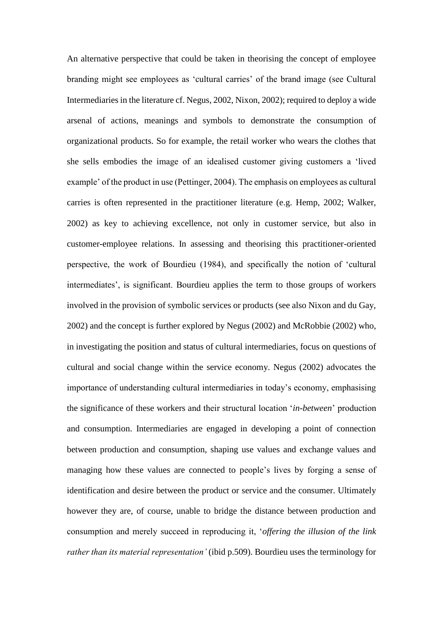An alternative perspective that could be taken in theorising the concept of employee branding might see employees as 'cultural carries' of the brand image (see Cultural Intermediaries in the literature cf. Negus, 2002, Nixon, 2002); required to deploy a wide arsenal of actions, meanings and symbols to demonstrate the consumption of organizational products. So for example, the retail worker who wears the clothes that she sells embodies the image of an idealised customer giving customers a 'lived example' of the product in use (Pettinger, 2004). The emphasis on employees as cultural carries is often represented in the practitioner literature (e.g. Hemp, 2002; Walker, 2002) as key to achieving excellence, not only in customer service, but also in customer-employee relations. In assessing and theorising this practitioner-oriented perspective, the work of Bourdieu (1984), and specifically the notion of 'cultural intermediates', is significant. Bourdieu applies the term to those groups of workers involved in the provision of symbolic services or products (see also Nixon and du Gay, 2002) and the concept is further explored by Negus (2002) and McRobbie (2002) who, in investigating the position and status of cultural intermediaries, focus on questions of cultural and social change within the service economy. Negus (2002) advocates the importance of understanding cultural intermediaries in today's economy, emphasising the significance of these workers and their structural location '*in-between*' production and consumption. Intermediaries are engaged in developing a point of connection between production and consumption, shaping use values and exchange values and managing how these values are connected to people's lives by forging a sense of identification and desire between the product or service and the consumer. Ultimately however they are, of course, unable to bridge the distance between production and consumption and merely succeed in reproducing it, '*offering the illusion of the link rather than its material representation'* (ibid p.509). Bourdieu uses the terminology for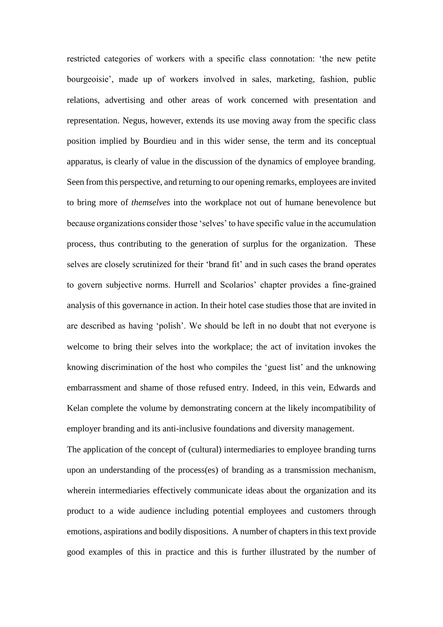restricted categories of workers with a specific class connotation: 'the new petite bourgeoisie', made up of workers involved in sales, marketing, fashion, public relations, advertising and other areas of work concerned with presentation and representation. Negus, however, extends its use moving away from the specific class position implied by Bourdieu and in this wider sense, the term and its conceptual apparatus, is clearly of value in the discussion of the dynamics of employee branding. Seen from this perspective, and returning to our opening remarks, employees are invited to bring more of *themselves* into the workplace not out of humane benevolence but because organizations consider those 'selves' to have specific value in the accumulation process, thus contributing to the generation of surplus for the organization. These selves are closely scrutinized for their 'brand fit' and in such cases the brand operates to govern subjective norms. Hurrell and Scolarios' chapter provides a fine-grained analysis of this governance in action. In their hotel case studies those that are invited in are described as having 'polish'. We should be left in no doubt that not everyone is welcome to bring their selves into the workplace; the act of invitation invokes the knowing discrimination of the host who compiles the 'guest list' and the unknowing embarrassment and shame of those refused entry. Indeed, in this vein, Edwards and Kelan complete the volume by demonstrating concern at the likely incompatibility of employer branding and its anti-inclusive foundations and diversity management.

The application of the concept of (cultural) intermediaries to employee branding turns upon an understanding of the process(es) of branding as a transmission mechanism, wherein intermediaries effectively communicate ideas about the organization and its product to a wide audience including potential employees and customers through emotions, aspirations and bodily dispositions. A number of chapters in this text provide good examples of this in practice and this is further illustrated by the number of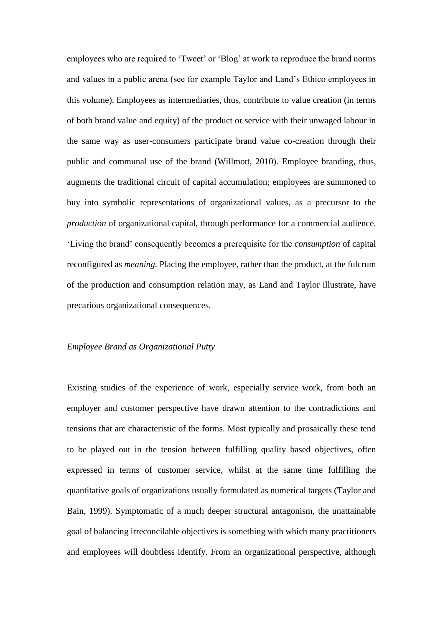employees who are required to 'Tweet' or 'Blog' at work to reproduce the brand norms and values in a public arena (see for example Taylor and Land's Ethico employees in this volume). Employees as intermediaries, thus, contribute to value creation (in terms of both brand value and equity) of the product or service with their unwaged labour in the same way as user-consumers participate brand value co-creation through their public and communal use of the brand (Willmott, 2010). Employee branding, thus, augments the traditional circuit of capital accumulation; employees are summoned to buy into symbolic representations of organizational values, as a precursor to the *production* of organizational capital, through performance for a commercial audience. 'Living the brand' consequently becomes a prerequisite for the *consumption* of capital reconfigured as *meaning.* Placing the employee, rather than the product, at the fulcrum of the production and consumption relation may, as Land and Taylor illustrate, have precarious organizational consequences.

#### *Employee Brand as Organizational Putty*

Existing studies of the experience of work, especially service work, from both an employer and customer perspective have drawn attention to the contradictions and tensions that are characteristic of the forms. Most typically and prosaically these tend to be played out in the tension between fulfilling quality based objectives, often expressed in terms of customer service, whilst at the same time fulfilling the quantitative goals of organizations usually formulated as numerical targets (Taylor and Bain, 1999). Symptomatic of a much deeper structural antagonism, the unattainable goal of balancing irreconcilable objectives is something with which many practitioners and employees will doubtless identify. From an organizational perspective, although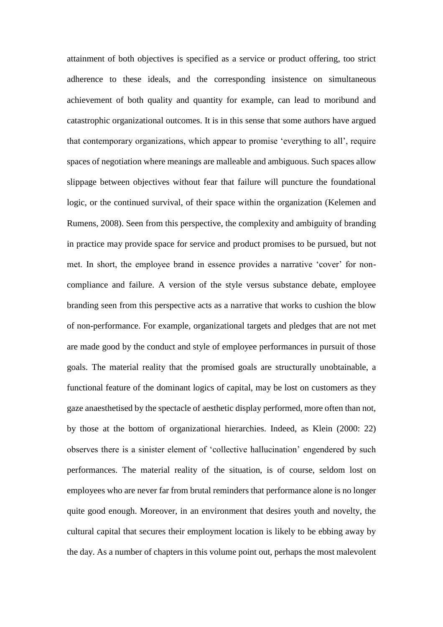attainment of both objectives is specified as a service or product offering, too strict adherence to these ideals, and the corresponding insistence on simultaneous achievement of both quality and quantity for example, can lead to moribund and catastrophic organizational outcomes. It is in this sense that some authors have argued that contemporary organizations, which appear to promise 'everything to all', require spaces of negotiation where meanings are malleable and ambiguous. Such spaces allow slippage between objectives without fear that failure will puncture the foundational logic, or the continued survival, of their space within the organization (Kelemen and Rumens, 2008). Seen from this perspective, the complexity and ambiguity of branding in practice may provide space for service and product promises to be pursued, but not met. In short, the employee brand in essence provides a narrative 'cover' for noncompliance and failure. A version of the style versus substance debate, employee branding seen from this perspective acts as a narrative that works to cushion the blow of non-performance. For example, organizational targets and pledges that are not met are made good by the conduct and style of employee performances in pursuit of those goals. The material reality that the promised goals are structurally unobtainable, a functional feature of the dominant logics of capital, may be lost on customers as they gaze anaesthetised by the spectacle of aesthetic display performed, more often than not, by those at the bottom of organizational hierarchies. Indeed, as Klein (2000: 22) observes there is a sinister element of 'collective hallucination' engendered by such performances. The material reality of the situation, is of course, seldom lost on employees who are never far from brutal reminders that performance alone is no longer quite good enough. Moreover, in an environment that desires youth and novelty, the cultural capital that secures their employment location is likely to be ebbing away by the day. As a number of chapters in this volume point out, perhaps the most malevolent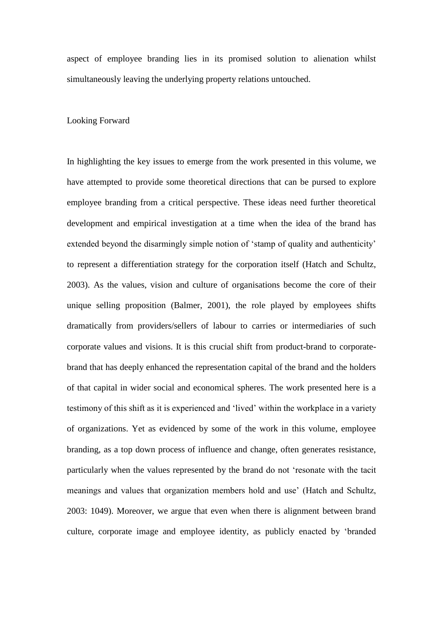aspect of employee branding lies in its promised solution to alienation whilst simultaneously leaving the underlying property relations untouched.

#### Looking Forward

In highlighting the key issues to emerge from the work presented in this volume, we have attempted to provide some theoretical directions that can be pursed to explore employee branding from a critical perspective. These ideas need further theoretical development and empirical investigation at a time when the idea of the brand has extended beyond the disarmingly simple notion of 'stamp of quality and authenticity' to represent a differentiation strategy for the corporation itself (Hatch and Schultz, 2003). As the values, vision and culture of organisations become the core of their unique selling proposition (Balmer, 2001), the role played by employees shifts dramatically from providers/sellers of labour to carries or intermediaries of such corporate values and visions. It is this crucial shift from product-brand to corporatebrand that has deeply enhanced the representation capital of the brand and the holders of that capital in wider social and economical spheres. The work presented here is a testimony of this shift as it is experienced and 'lived' within the workplace in a variety of organizations. Yet as evidenced by some of the work in this volume, employee branding, as a top down process of influence and change, often generates resistance, particularly when the values represented by the brand do not 'resonate with the tacit meanings and values that organization members hold and use' (Hatch and Schultz, 2003: 1049). Moreover, we argue that even when there is alignment between brand culture, corporate image and employee identity, as publicly enacted by 'branded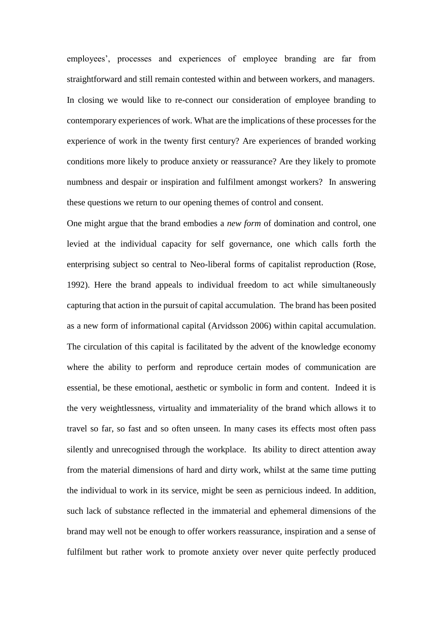employees', processes and experiences of employee branding are far from straightforward and still remain contested within and between workers, and managers. In closing we would like to re-connect our consideration of employee branding to contemporary experiences of work. What are the implications of these processes for the experience of work in the twenty first century? Are experiences of branded working conditions more likely to produce anxiety or reassurance? Are they likely to promote numbness and despair or inspiration and fulfilment amongst workers? In answering these questions we return to our opening themes of control and consent.

One might argue that the brand embodies a *new form* of domination and control, one levied at the individual capacity for self governance, one which calls forth the enterprising subject so central to Neo-liberal forms of capitalist reproduction (Rose, 1992). Here the brand appeals to individual freedom to act while simultaneously capturing that action in the pursuit of capital accumulation. The brand has been posited as a new form of informational capital (Arvidsson 2006) within capital accumulation. The circulation of this capital is facilitated by the advent of the knowledge economy where the ability to perform and reproduce certain modes of communication are essential, be these emotional, aesthetic or symbolic in form and content. Indeed it is the very weightlessness, virtuality and immateriality of the brand which allows it to travel so far, so fast and so often unseen. In many cases its effects most often pass silently and unrecognised through the workplace. Its ability to direct attention away from the material dimensions of hard and dirty work, whilst at the same time putting the individual to work in its service, might be seen as pernicious indeed. In addition, such lack of substance reflected in the immaterial and ephemeral dimensions of the brand may well not be enough to offer workers reassurance, inspiration and a sense of fulfilment but rather work to promote anxiety over never quite perfectly produced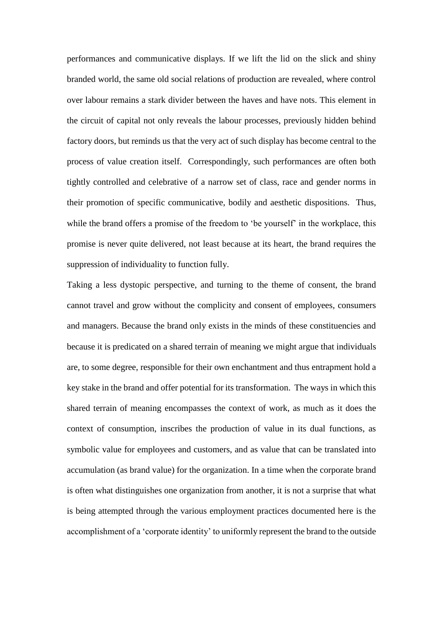performances and communicative displays. If we lift the lid on the slick and shiny branded world, the same old social relations of production are revealed, where control over labour remains a stark divider between the haves and have nots. This element in the circuit of capital not only reveals the labour processes, previously hidden behind factory doors, but reminds us that the very act of such display has become central to the process of value creation itself. Correspondingly, such performances are often both tightly controlled and celebrative of a narrow set of class, race and gender norms in their promotion of specific communicative, bodily and aesthetic dispositions. Thus, while the brand offers a promise of the freedom to 'be yourself' in the workplace, this promise is never quite delivered, not least because at its heart, the brand requires the suppression of individuality to function fully.

Taking a less dystopic perspective, and turning to the theme of consent, the brand cannot travel and grow without the complicity and consent of employees, consumers and managers. Because the brand only exists in the minds of these constituencies and because it is predicated on a shared terrain of meaning we might argue that individuals are, to some degree, responsible for their own enchantment and thus entrapment hold a key stake in the brand and offer potential for its transformation. The ways in which this shared terrain of meaning encompasses the context of work, as much as it does the context of consumption, inscribes the production of value in its dual functions, as symbolic value for employees and customers, and as value that can be translated into accumulation (as brand value) for the organization. In a time when the corporate brand is often what distinguishes one organization from another, it is not a surprise that what is being attempted through the various employment practices documented here is the accomplishment of a 'corporate identity' to uniformly represent the brand to the outside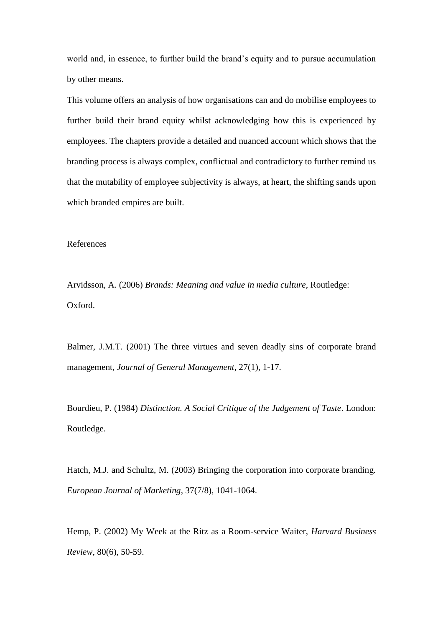world and, in essence, to further build the brand's equity and to pursue accumulation by other means.

This volume offers an analysis of how organisations can and do mobilise employees to further build their brand equity whilst acknowledging how this is experienced by employees. The chapters provide a detailed and nuanced account which shows that the branding process is always complex, conflictual and contradictory to further remind us that the mutability of employee subjectivity is always, at heart, the shifting sands upon which branded empires are built.

#### References

Arvidsson, A. (2006) *Brands: Meaning and value in media culture*, Routledge: Oxford.

Balmer, J.M.T. (2001) The three virtues and seven deadly sins of corporate brand management, *Journal of General Management*, 27(1), 1-17.

Bourdieu, P. (1984) *Distinction. A Social Critique of the Judgement of Taste*. London: Routledge.

Hatch, M.J. and Schultz, M. (2003) Bringing the corporation into corporate branding. *European Journal of Marketing*, 37(7/8), 1041-1064.

Hemp, P. (2002) My Week at the Ritz as a Room-service Waiter, *Harvard Business Review*, 80(6), 50-59.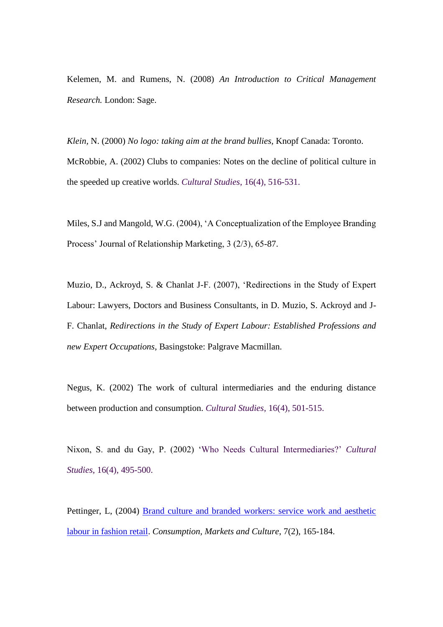Kelemen, M. and Rumens, N. (2008) *An Introduction to Critical Management Research.* London: Sage.

*Klein,* N. (2000) *No logo: taking aim at the brand bullies,* Knopf Canada: Toronto. McRobbie, A. (2002) Clubs to companies: Notes on the decline of political culture in the speeded up creative worlds. *Cultural Studies*, 16(4), 516-531.

Miles, S.J and Mangold, W.G. (2004), 'A Conceptualization of the Employee Branding Process' Journal of Relationship Marketing, 3 (2/3), 65-87.

Muzio, D., Ackroyd, S. & Chanlat J-F. (2007), 'Redirections in the Study of Expert Labour: Lawyers, Doctors and Business Consultants, in D. Muzio, S. Ackroyd and J-F. Chanlat, *Redirections in the Study of Expert Labour: Established Professions and new Expert Occupations*, Basingstoke: Palgrave Macmillan.

Negus, K. (2002) The work of cultural intermediaries and the enduring distance between production and consumption. *Cultural Studies*, 16(4), 501-515.

Nixon, S. and du Gay, P. (2002) 'Who Needs Cultural Intermediaries?' *Cultural Studies*, 16(4), 495-500.

Pettinger, L, (2004) [Brand culture and branded workers: service work and aesthetic](http://www.ingentaconnect.com/content/routledg/gcmc/2004/00000007/00000002/art00005)  [labour in fashion retail.](http://www.ingentaconnect.com/content/routledg/gcmc/2004/00000007/00000002/art00005) *Consumption, Markets and Culture*, 7(2), 165-184.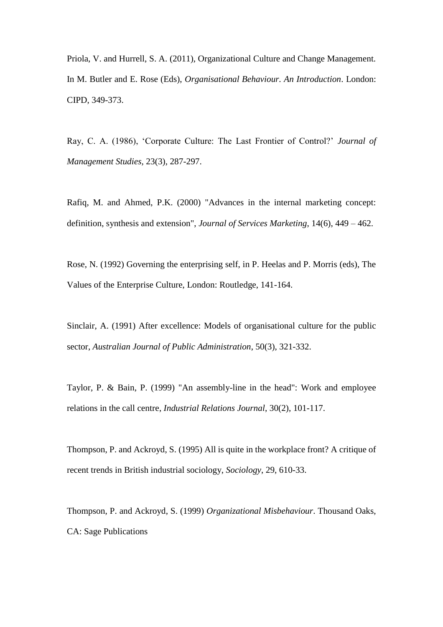Priola, V. and Hurrell, S. A. (2011), Organizational Culture and Change Management. In M. Butler and E. Rose (Eds), *Organisational Behaviour. An Introduction*. London: CIPD, 349-373.

Ray, C. A. (1986), 'Corporate Culture: The Last Frontier of Control?' *Journal of Management Studies,* 23(3), 287-297.

Rafiq, M. and Ahmed, P.K. (2000) "Advances in the internal marketing concept: definition, synthesis and extension", *Journal of Services Marketing*, 14(6), 449 – 462.

Rose, N. (1992) Governing the enterprising self, in P. Heelas and P. Morris (eds), The Values of the Enterprise Culture, London: Routledge, 141-164.

Sinclair, A. (1991) After excellence: Models of organisational culture for the public sector, *Australian Journal of Public Administration*, 50(3), 321-332.

Taylor, P. & Bain, P. (1999) "An assembly-line in the head": Work and employee relations in the call centre, *Industrial Relations Journal*, 30(2), 101-117.

Thompson, P. and Ackroyd, S. (1995) All is quite in the workplace front? A critique of recent trends in British industrial sociology, *Sociology*, 29, 610-33.

Thompson, P. and Ackroyd, S. (1999) *Organizational Misbehaviour*. Thousand Oaks, CA: Sage Publications